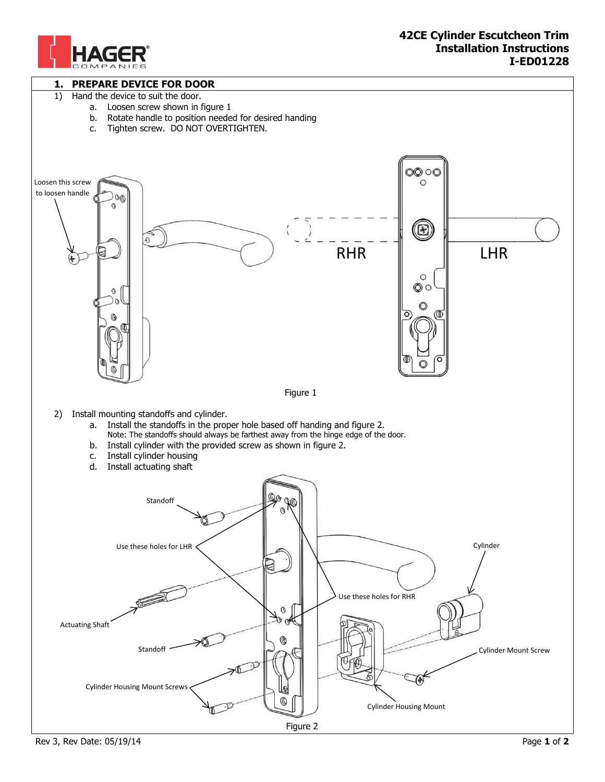